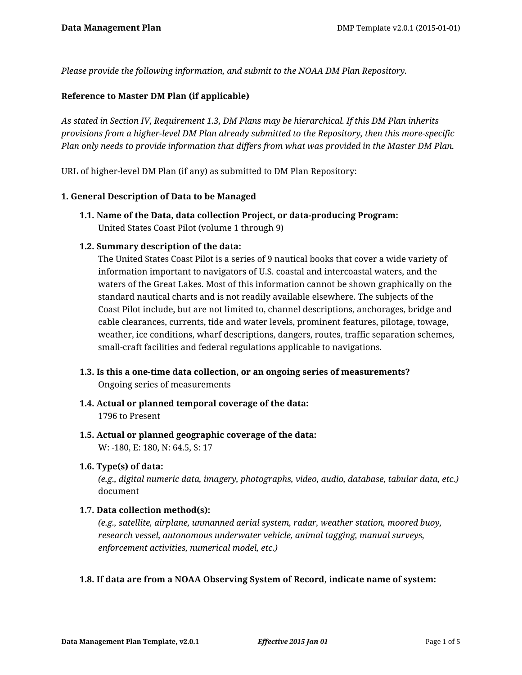*Please provide the following information, and submit to the NOAA DM Plan Repository.*

#### **Reference to Master DM Plan (if applicable)**

*As stated in Section IV, Requirement 1.3, DM Plans may be hierarchical. If this DM Plan inherits provisions from a higher-level DM Plan already submitted to the Repository, then this more-specific Plan only needs to provide information that differs from what was provided in the Master DM Plan.*

URL of higher-level DM Plan (if any) as submitted to DM Plan Repository:

#### **1. General Description of Data to be Managed**

**1.1. Name of the Data, data collection Project, or data-producing Program:** United States Coast Pilot (volume 1 through 9)

#### **1.2. Summary description of the data:**

The United States Coast Pilot is a series of 9 nautical books that cover a wide variety of information important to navigators of U.S. coastal and intercoastal waters, and the waters of the Great Lakes. Most of this information cannot be shown graphically on the standard nautical charts and is not readily available elsewhere. The subjects of the Coast Pilot include, but are not limited to, channel descriptions, anchorages, bridge and cable clearances, currents, tide and water levels, prominent features, pilotage, towage, weather, ice conditions, wharf descriptions, dangers, routes, traffic separation schemes, small-craft facilities and federal regulations applicable to navigations.

- **1.3. Is this a one-time data collection, or an ongoing series of measurements?** Ongoing series of measurements
- **1.4. Actual or planned temporal coverage of the data:** 1796 to Present
- **1.5. Actual or planned geographic coverage of the data:** W: -180, E: 180, N: 64.5, S: 17
- **1.6. Type(s) of data:**

*(e.g., digital numeric data, imagery, photographs, video, audio, database, tabular data, etc.)* document

#### **1.7. Data collection method(s):**

*(e.g., satellite, airplane, unmanned aerial system, radar, weather station, moored buoy, research vessel, autonomous underwater vehicle, animal tagging, manual surveys, enforcement activities, numerical model, etc.)*

#### **1.8. If data are from a NOAA Observing System of Record, indicate name of system:**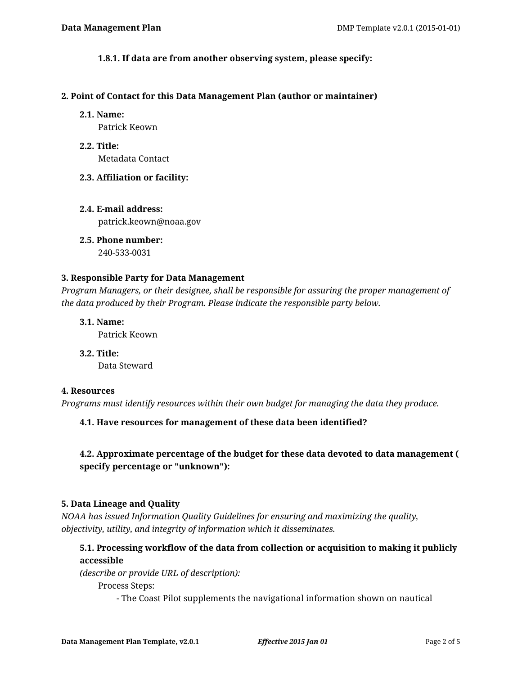#### **1.8.1. If data are from another observing system, please specify:**

#### **2. Point of Contact for this Data Management Plan (author or maintainer)**

#### **2.1. Name:**

Patrick Keown

**2.2. Title:** Metadata Contact

#### **2.3. Affiliation or facility:**

**2.4. E-mail address:** patrick.keown@noaa.gov

**2.5. Phone number:** 240-533-0031

#### **3. Responsible Party for Data Management**

*Program Managers, or their designee, shall be responsible for assuring the proper management of the data produced by their Program. Please indicate the responsible party below.*

**3.1. Name:**

Patrick Keown

**3.2. Title:** Data Steward

#### **4. Resources**

*Programs must identify resources within their own budget for managing the data they produce.*

**4.1. Have resources for management of these data been identified?**

# **4.2. Approximate percentage of the budget for these data devoted to data management ( specify percentage or "unknown"):**

#### **5. Data Lineage and Quality**

*NOAA has issued Information Quality Guidelines for ensuring and maximizing the quality, objectivity, utility, and integrity of information which it disseminates.*

# **5.1. Processing workflow of the data from collection or acquisition to making it publicly accessible**

*(describe or provide URL of description):*

Process Steps:

- The Coast Pilot supplements the navigational information shown on nautical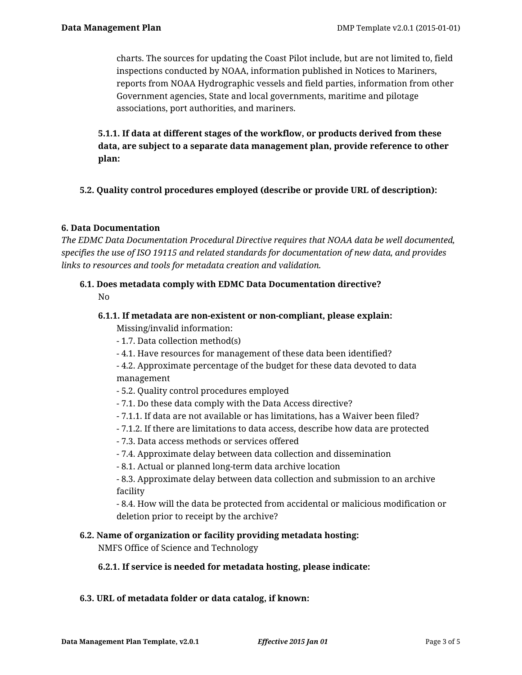charts. The sources for updating the Coast Pilot include, but are not limited to, field inspections conducted by NOAA, information published in Notices to Mariners, reports from NOAA Hydrographic vessels and field parties, information from other Government agencies, State and local governments, maritime and pilotage associations, port authorities, and mariners.

**5.1.1. If data at different stages of the workflow, or products derived from these data, are subject to a separate data management plan, provide reference to other plan:**

# **5.2. Quality control procedures employed (describe or provide URL of description):**

# **6. Data Documentation**

*The EDMC Data Documentation Procedural Directive requires that NOAA data be well documented, specifies the use of ISO 19115 and related standards for documentation of new data, and provides links to resources and tools for metadata creation and validation.*

## **6.1. Does metadata comply with EDMC Data Documentation directive?** No

## **6.1.1. If metadata are non-existent or non-compliant, please explain:**

Missing/invalid information:

- 1.7. Data collection method(s)
- 4.1. Have resources for management of these data been identified?
- 4.2. Approximate percentage of the budget for these data devoted to data management
- 5.2. Quality control procedures employed
- 7.1. Do these data comply with the Data Access directive?
- 7.1.1. If data are not available or has limitations, has a Waiver been filed?
- 7.1.2. If there are limitations to data access, describe how data are protected
- 7.3. Data access methods or services offered
- 7.4. Approximate delay between data collection and dissemination
- 8.1. Actual or planned long-term data archive location

- 8.3. Approximate delay between data collection and submission to an archive facility

- 8.4. How will the data be protected from accidental or malicious modification or deletion prior to receipt by the archive?

## **6.2. Name of organization or facility providing metadata hosting:**

NMFS Office of Science and Technology

## **6.2.1. If service is needed for metadata hosting, please indicate:**

## **6.3. URL of metadata folder or data catalog, if known:**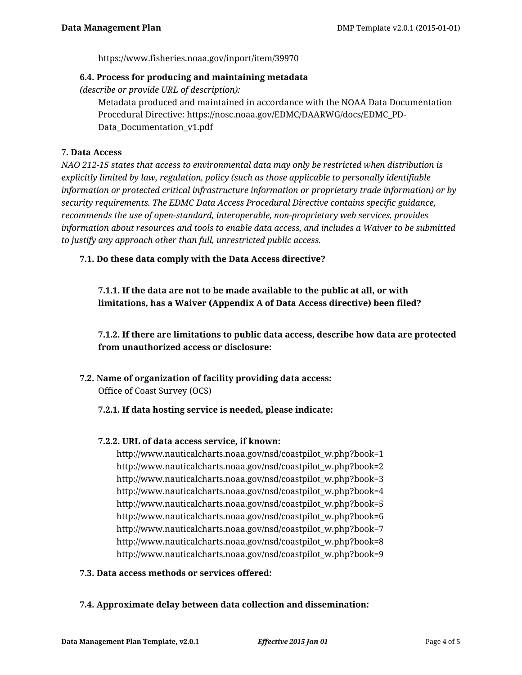https://www.fisheries.noaa.gov/inport/item/39970

#### **6.4. Process for producing and maintaining metadata**

*(describe or provide URL of description):*

Metadata produced and maintained in accordance with the NOAA Data Documentation Procedural Directive: https://nosc.noaa.gov/EDMC/DAARWG/docs/EDMC\_PD-Data Documentation v1.pdf

## **7. Data Access**

*NAO 212-15 states that access to environmental data may only be restricted when distribution is explicitly limited by law, regulation, policy (such as those applicable to personally identifiable information or protected critical infrastructure information or proprietary trade information) or by security requirements. The EDMC Data Access Procedural Directive contains specific guidance, recommends the use of open-standard, interoperable, non-proprietary web services, provides information about resources and tools to enable data access, and includes a Waiver to be submitted to justify any approach other than full, unrestricted public access.*

**7.1. Do these data comply with the Data Access directive?**

**7.1.1. If the data are not to be made available to the public at all, or with limitations, has a Waiver (Appendix A of Data Access directive) been filed?**

**7.1.2. If there are limitations to public data access, describe how data are protected from unauthorized access or disclosure:**

**7.2. Name of organization of facility providing data access:** Office of Coast Survey (OCS)

## **7.2.1. If data hosting service is needed, please indicate:**

## **7.2.2. URL of data access service, if known:**

http://www.nauticalcharts.noaa.gov/nsd/coastpilot\_w.php?book=1 http://www.nauticalcharts.noaa.gov/nsd/coastpilot\_w.php?book=2 http://www.nauticalcharts.noaa.gov/nsd/coastpilot\_w.php?book=3 http://www.nauticalcharts.noaa.gov/nsd/coastpilot\_w.php?book=4 http://www.nauticalcharts.noaa.gov/nsd/coastpilot\_w.php?book=5 http://www.nauticalcharts.noaa.gov/nsd/coastpilot\_w.php?book=6 http://www.nauticalcharts.noaa.gov/nsd/coastpilot\_w.php?book=7 http://www.nauticalcharts.noaa.gov/nsd/coastpilot\_w.php?book=8 http://www.nauticalcharts.noaa.gov/nsd/coastpilot\_w.php?book=9

#### **7.3. Data access methods or services offered:**

## **7.4. Approximate delay between data collection and dissemination:**